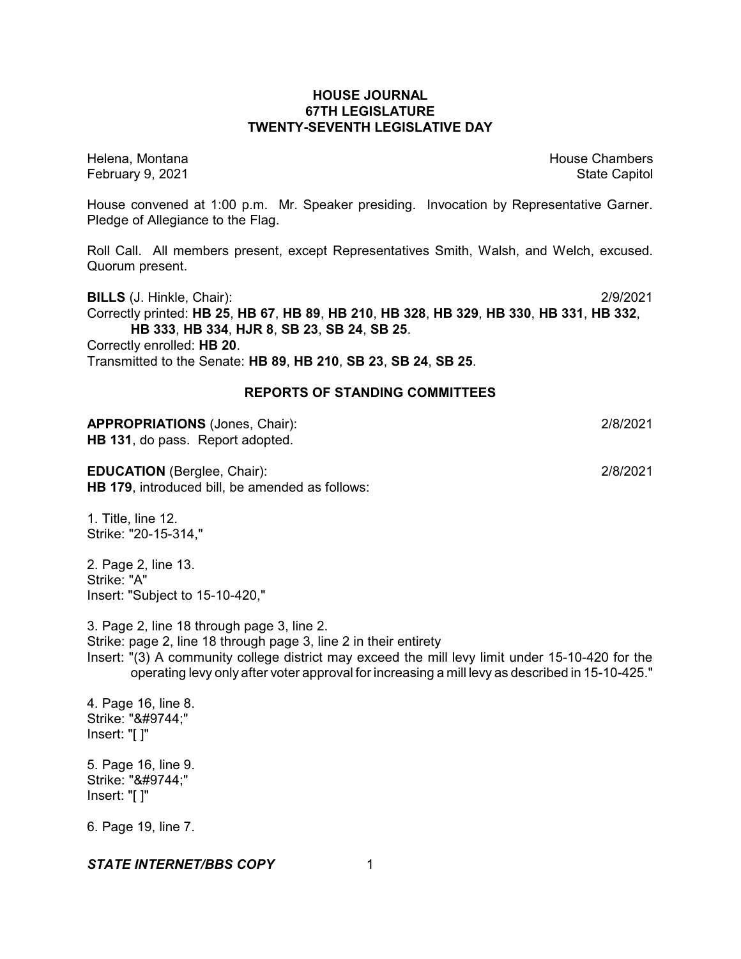## **HOUSE JOURNAL 67TH LEGISLATURE TWENTY-SEVENTH LEGISLATIVE DAY**

Helena, Montana House Chambers Chambers Chambers and House Chambers Chambers Chambers Chambers Chambers Chambers Chambers Chambers Chambers Chambers Chambers Chambers Chambers Chambers Chambers Chambers Chambers Chambers C February 9, 2021 **State Capitol** 

House convened at 1:00 p.m. Mr. Speaker presiding. Invocation by Representative Garner. Pledge of Allegiance to the Flag.

Roll Call. All members present, except Representatives Smith, Walsh, and Welch, excused. Quorum present.

**BILLS** (J. Hinkle, Chair): 2/9/2021 Correctly printed: **HB 25**, **HB 67**, **HB 89**, **HB 210**, **HB 328**, **HB 329**, **HB 330**, **HB 331**, **HB 332**, **HB 333**, **HB 334**, **HJR 8**, **SB 23**, **SB 24**, **SB 25**. Correctly enrolled: **HB 20**. Transmitted to the Senate: **HB 89**, **HB 210**, **SB 23**, **SB 24**, **SB 25**.

## **REPORTS OF STANDING COMMITTEES**

| <b>APPROPRIATIONS (Jones, Chair):</b><br><b>HB 131, do pass. Report adopted.</b>             | 2/8/2021 |
|----------------------------------------------------------------------------------------------|----------|
| <b>EDUCATION</b> (Berglee, Chair):<br><b>HB 179, introduced bill, be amended as follows:</b> | 2/8/2021 |
| 1. Title, line 12.<br>Strike: "20-15-314,"                                                   |          |

2. Page 2, line 13. Strike: "A" Insert: "Subject to 15-10-420,"

3. Page 2, line 18 through page 3, line 2. Strike: page 2, line 18 through page 3, line 2 in their entirety Insert: "(3) A community college district may exceed the mill levy limit under 15-10-420 for the operating levy only after voter approval for increasing a mill levy as described in 15-10-425."

4. Page 16, line 8. Strike: "&#9744:" Insert: "[ ]"

5. Page 16, line 9. Strike: "☐" Insert: "[ ]"

6. Page 19, line 7.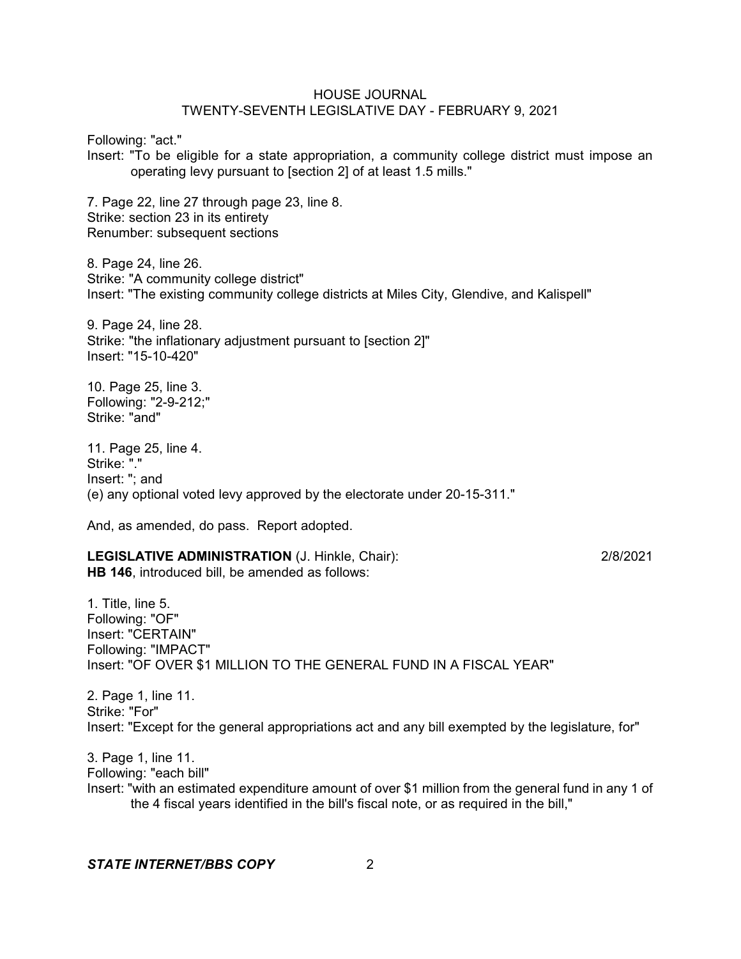Following: "act."

Insert: "To be eligible for a state appropriation, a community college district must impose an operating levy pursuant to [section 2] of at least 1.5 mills."

7. Page 22, line 27 through page 23, line 8. Strike: section 23 in its entirety Renumber: subsequent sections

8. Page 24, line 26. Strike: "A community college district" Insert: "The existing community college districts at Miles City, Glendive, and Kalispell"

9. Page 24, line 28. Strike: "the inflationary adjustment pursuant to [section 2]" Insert: "15-10-420"

10. Page 25, line 3. Following: "2-9-212;" Strike: "and"

11. Page 25, line 4. Strike: "." Insert: "; and (e) any optional voted levy approved by the electorate under 20-15-311."

And, as amended, do pass. Report adopted.

**LEGISLATIVE ADMINISTRATION** (J. Hinkle, Chair): 2/8/2021 **HB 146**, introduced bill, be amended as follows:

1. Title, line 5. Following: "OF" Insert: "CERTAIN" Following: "IMPACT" Insert: "OF OVER \$1 MILLION TO THE GENERAL FUND IN A FISCAL YEAR"

2. Page 1, line 11. Strike: "For" Insert: "Except for the general appropriations act and any bill exempted by the legislature, for"

3. Page 1, line 11. Following: "each bill" Insert: "with an estimated expenditure amount of over \$1 million from the general fund in any 1 of the 4 fiscal years identified in the bill's fiscal note, or as required in the bill,"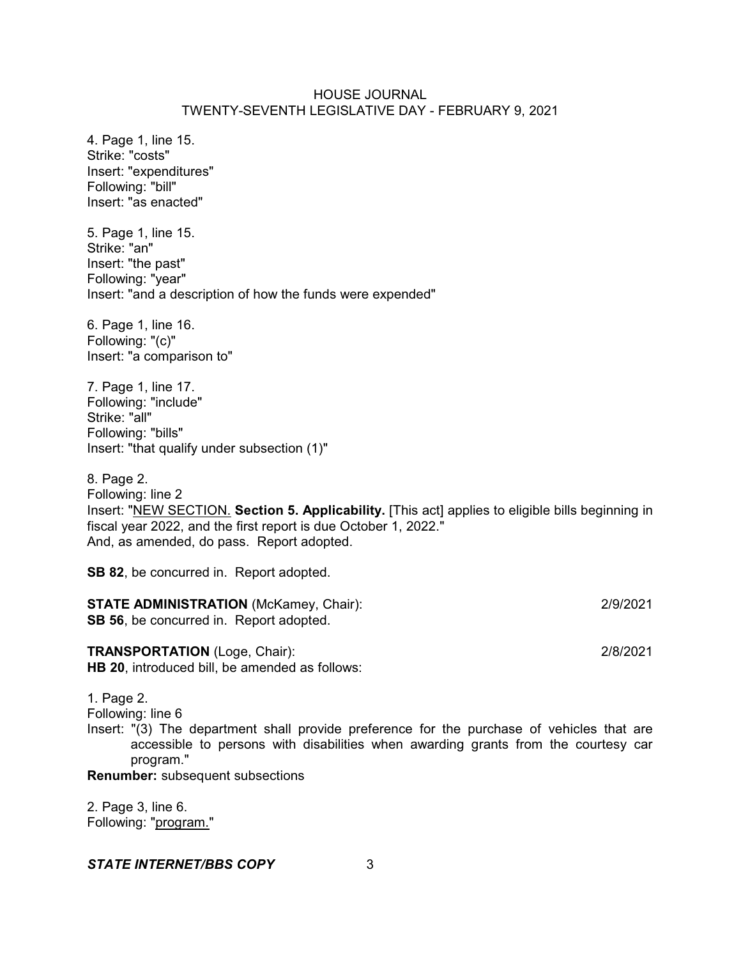4. Page 1, line 15. Strike: "costs" Insert: "expenditures" Following: "bill" Insert: "as enacted" 5. Page 1, line 15. Strike: "an" Insert: "the past" Following: "year" Insert: "and a description of how the funds were expended" 6. Page 1, line 16.

Following: "(c)" Insert: "a comparison to"

7. Page 1, line 17. Following: "include" Strike: "all" Following: "bills" Insert: "that qualify under subsection (1)"

8. Page 2. Following: line 2 Insert: "NEW SECTION. **Section 5. Applicability.** [This act] applies to eligible bills beginning in fiscal year 2022, and the first report is due October 1, 2022." And, as amended, do pass. Report adopted.

**SB 82**, be concurred in. Report adopted.

**STATE ADMINISTRATION** (McKamey, Chair): 2/9/2021 **SB 56**, be concurred in. Report adopted.

**TRANSPORTATION** (Loge, Chair): 2/8/2021 **HB 20**, introduced bill, be amended as follows:

1. Page 2. Following: line 6

Insert: "(3) The department shall provide preference for the purchase of vehicles that are accessible to persons with disabilities when awarding grants from the courtesy car program."

**Renumber:** subsequent subsections

2. Page 3, line 6. Following: "program."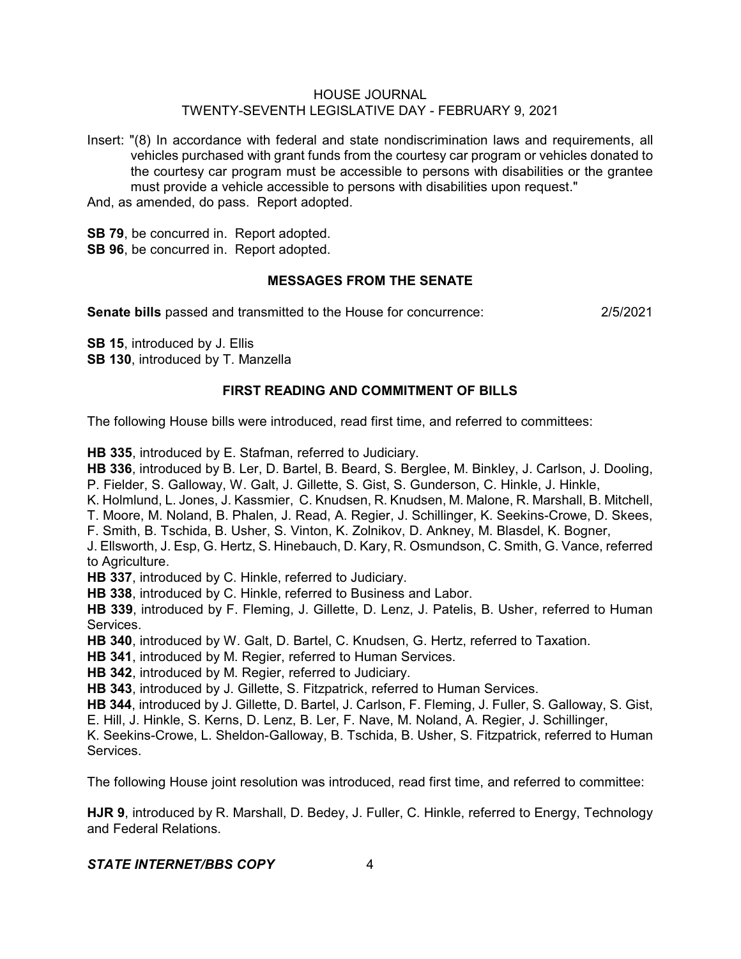Insert: "(8) In accordance with federal and state nondiscrimination laws and requirements, all vehicles purchased with grant funds from the courtesy car program or vehicles donated to the courtesy car program must be accessible to persons with disabilities or the grantee must provide a vehicle accessible to persons with disabilities upon request."

And, as amended, do pass. Report adopted.

**SB 79**, be concurred in. Report adopted.

**SB 96**, be concurred in. Report adopted.

# **MESSAGES FROM THE SENATE**

**Senate bills** passed and transmitted to the House for concurrence: 2/5/2021

**SB 15**, introduced by J. Ellis

**SB 130**, introduced by T. Manzella

# **FIRST READING AND COMMITMENT OF BILLS**

The following House bills were introduced, read first time, and referred to committees:

**HB 335**, introduced by E. Stafman, referred to Judiciary.

**HB 336**, introduced by B. Ler, D. Bartel, B. Beard, S. Berglee, M. Binkley, J. Carlson, J. Dooling, P. Fielder, S. Galloway, W. Galt, J. Gillette, S. Gist, S. Gunderson, C. Hinkle, J. Hinkle,

K. Holmlund, L. Jones, J. Kassmier, C. Knudsen, R. Knudsen, M. Malone, R. Marshall, B. Mitchell,

T. Moore, M. Noland, B. Phalen, J. Read, A. Regier, J. Schillinger, K. Seekins-Crowe, D. Skees,

F. Smith, B. Tschida, B. Usher, S. Vinton, K. Zolnikov, D. Ankney, M. Blasdel, K. Bogner,

J. Ellsworth, J. Esp, G. Hertz, S. Hinebauch, D. Kary, R. Osmundson, C. Smith, G. Vance, referred to Agriculture.

**HB 337**, introduced by C. Hinkle, referred to Judiciary.

**HB 338**, introduced by C. Hinkle, referred to Business and Labor.

**HB 339**, introduced by F. Fleming, J. Gillette, D. Lenz, J. Patelis, B. Usher, referred to Human Services.

**HB 340**, introduced by W. Galt, D. Bartel, C. Knudsen, G. Hertz, referred to Taxation.

**HB 341**, introduced by M. Regier, referred to Human Services.

**HB 342**, introduced by M. Regier, referred to Judiciary.

**HB 343**, introduced by J. Gillette, S. Fitzpatrick, referred to Human Services.

**HB 344**, introduced by J. Gillette, D. Bartel, J. Carlson, F. Fleming, J. Fuller, S. Galloway, S. Gist, E. Hill, J. Hinkle, S. Kerns, D. Lenz, B. Ler, F. Nave, M. Noland, A. Regier, J. Schillinger,

K. Seekins-Crowe, L. Sheldon-Galloway, B. Tschida, B. Usher, S. Fitzpatrick, referred to Human Services.

The following House joint resolution was introduced, read first time, and referred to committee:

**HJR 9**, introduced by R. Marshall, D. Bedey, J. Fuller, C. Hinkle, referred to Energy, Technology and Federal Relations.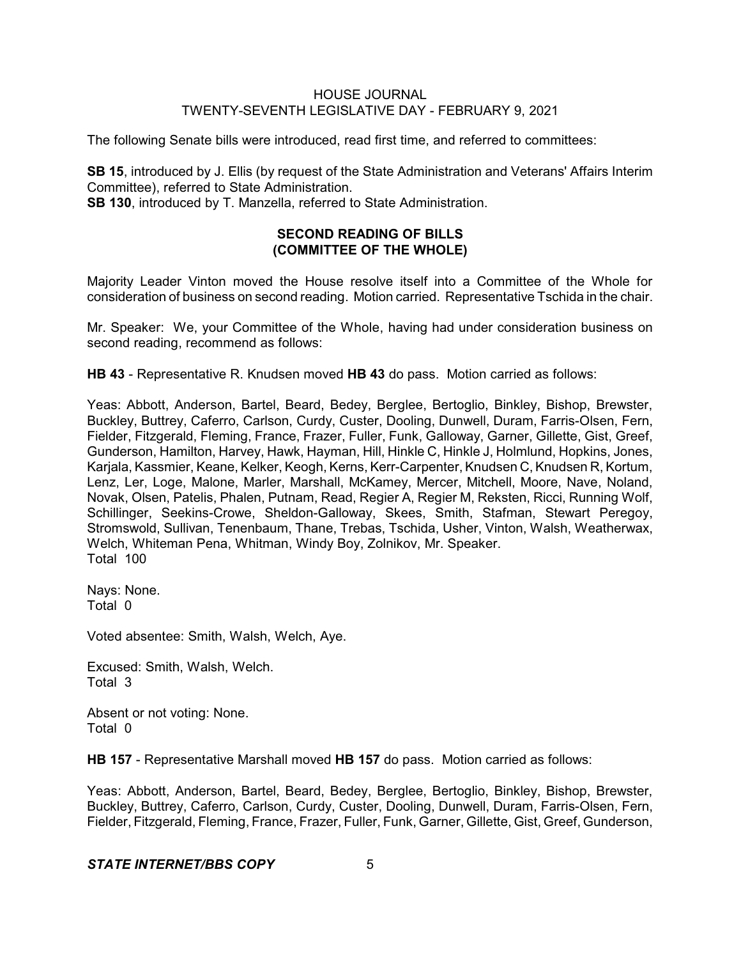The following Senate bills were introduced, read first time, and referred to committees:

**SB 15**, introduced by J. Ellis (by request of the State Administration and Veterans' Affairs Interim Committee), referred to State Administration.

**SB 130**, introduced by T. Manzella, referred to State Administration.

## **SECOND READING OF BILLS (COMMITTEE OF THE WHOLE)**

Majority Leader Vinton moved the House resolve itself into a Committee of the Whole for consideration of business on second reading. Motion carried. Representative Tschida in the chair.

Mr. Speaker: We, your Committee of the Whole, having had under consideration business on second reading, recommend as follows:

**HB 43** - Representative R. Knudsen moved **HB 43** do pass. Motion carried as follows:

Yeas: Abbott, Anderson, Bartel, Beard, Bedey, Berglee, Bertoglio, Binkley, Bishop, Brewster, Buckley, Buttrey, Caferro, Carlson, Curdy, Custer, Dooling, Dunwell, Duram, Farris-Olsen, Fern, Fielder, Fitzgerald, Fleming, France, Frazer, Fuller, Funk, Galloway, Garner, Gillette, Gist, Greef, Gunderson, Hamilton, Harvey, Hawk, Hayman, Hill, Hinkle C, Hinkle J, Holmlund, Hopkins, Jones, Karjala, Kassmier, Keane, Kelker, Keogh, Kerns, Kerr-Carpenter, Knudsen C, Knudsen R, Kortum, Lenz, Ler, Loge, Malone, Marler, Marshall, McKamey, Mercer, Mitchell, Moore, Nave, Noland, Novak, Olsen, Patelis, Phalen, Putnam, Read, Regier A, Regier M, Reksten, Ricci, Running Wolf, Schillinger, Seekins-Crowe, Sheldon-Galloway, Skees, Smith, Stafman, Stewart Peregoy, Stromswold, Sullivan, Tenenbaum, Thane, Trebas, Tschida, Usher, Vinton, Walsh, Weatherwax, Welch, Whiteman Pena, Whitman, Windy Boy, Zolnikov, Mr. Speaker. Total 100

Nays: None. Total 0

Voted absentee: Smith, Walsh, Welch, Aye.

Excused: Smith, Walsh, Welch. Total 3

Absent or not voting: None. Total 0

**HB 157** - Representative Marshall moved **HB 157** do pass. Motion carried as follows:

Yeas: Abbott, Anderson, Bartel, Beard, Bedey, Berglee, Bertoglio, Binkley, Bishop, Brewster, Buckley, Buttrey, Caferro, Carlson, Curdy, Custer, Dooling, Dunwell, Duram, Farris-Olsen, Fern, Fielder, Fitzgerald, Fleming, France, Frazer, Fuller, Funk, Garner, Gillette, Gist, Greef, Gunderson,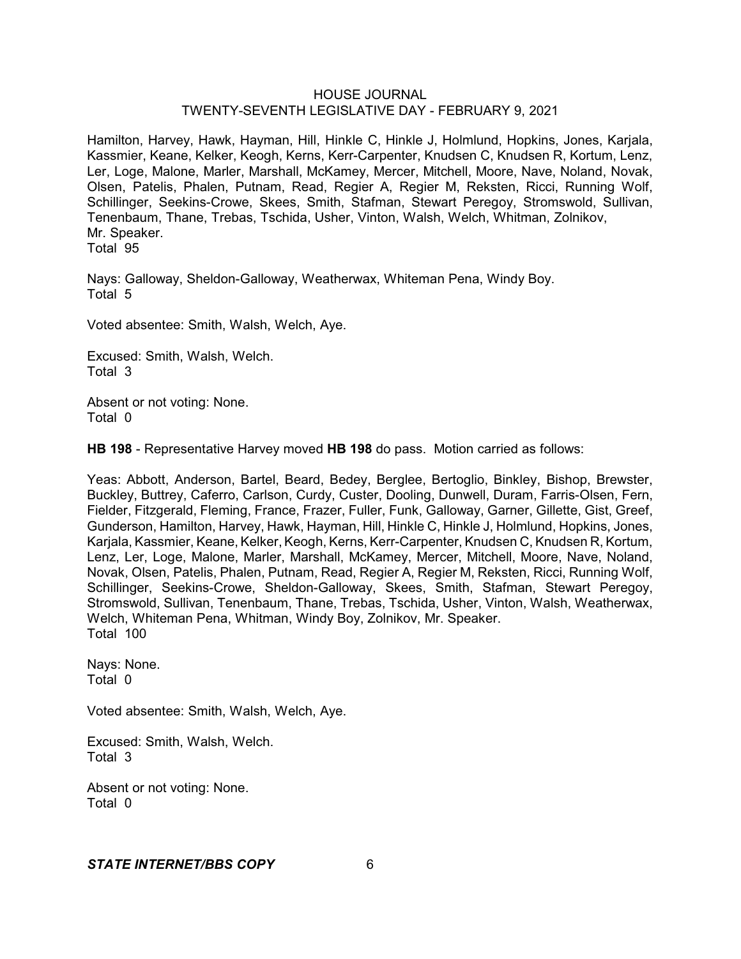Hamilton, Harvey, Hawk, Hayman, Hill, Hinkle C, Hinkle J, Holmlund, Hopkins, Jones, Karjala, Kassmier, Keane, Kelker, Keogh, Kerns, Kerr-Carpenter, Knudsen C, Knudsen R, Kortum, Lenz, Ler, Loge, Malone, Marler, Marshall, McKamey, Mercer, Mitchell, Moore, Nave, Noland, Novak, Olsen, Patelis, Phalen, Putnam, Read, Regier A, Regier M, Reksten, Ricci, Running Wolf, Schillinger, Seekins-Crowe, Skees, Smith, Stafman, Stewart Peregoy, Stromswold, Sullivan, Tenenbaum, Thane, Trebas, Tschida, Usher, Vinton, Walsh, Welch, Whitman, Zolnikov, Mr. Speaker.

Total 95

Nays: Galloway, Sheldon-Galloway, Weatherwax, Whiteman Pena, Windy Boy. Total 5

Voted absentee: Smith, Walsh, Welch, Aye.

Excused: Smith, Walsh, Welch. Total 3

Absent or not voting: None. Total 0

**HB 198** - Representative Harvey moved **HB 198** do pass. Motion carried as follows:

Yeas: Abbott, Anderson, Bartel, Beard, Bedey, Berglee, Bertoglio, Binkley, Bishop, Brewster, Buckley, Buttrey, Caferro, Carlson, Curdy, Custer, Dooling, Dunwell, Duram, Farris-Olsen, Fern, Fielder, Fitzgerald, Fleming, France, Frazer, Fuller, Funk, Galloway, Garner, Gillette, Gist, Greef, Gunderson, Hamilton, Harvey, Hawk, Hayman, Hill, Hinkle C, Hinkle J, Holmlund, Hopkins, Jones, Karjala, Kassmier, Keane, Kelker, Keogh, Kerns, Kerr-Carpenter, Knudsen C, Knudsen R, Kortum, Lenz, Ler, Loge, Malone, Marler, Marshall, McKamey, Mercer, Mitchell, Moore, Nave, Noland, Novak, Olsen, Patelis, Phalen, Putnam, Read, Regier A, Regier M, Reksten, Ricci, Running Wolf, Schillinger, Seekins-Crowe, Sheldon-Galloway, Skees, Smith, Stafman, Stewart Peregoy, Stromswold, Sullivan, Tenenbaum, Thane, Trebas, Tschida, Usher, Vinton, Walsh, Weatherwax, Welch, Whiteman Pena, Whitman, Windy Boy, Zolnikov, Mr. Speaker. Total 100

Nays: None. Total 0

Voted absentee: Smith, Walsh, Welch, Aye.

Excused: Smith, Walsh, Welch. Total 3

Absent or not voting: None. Total 0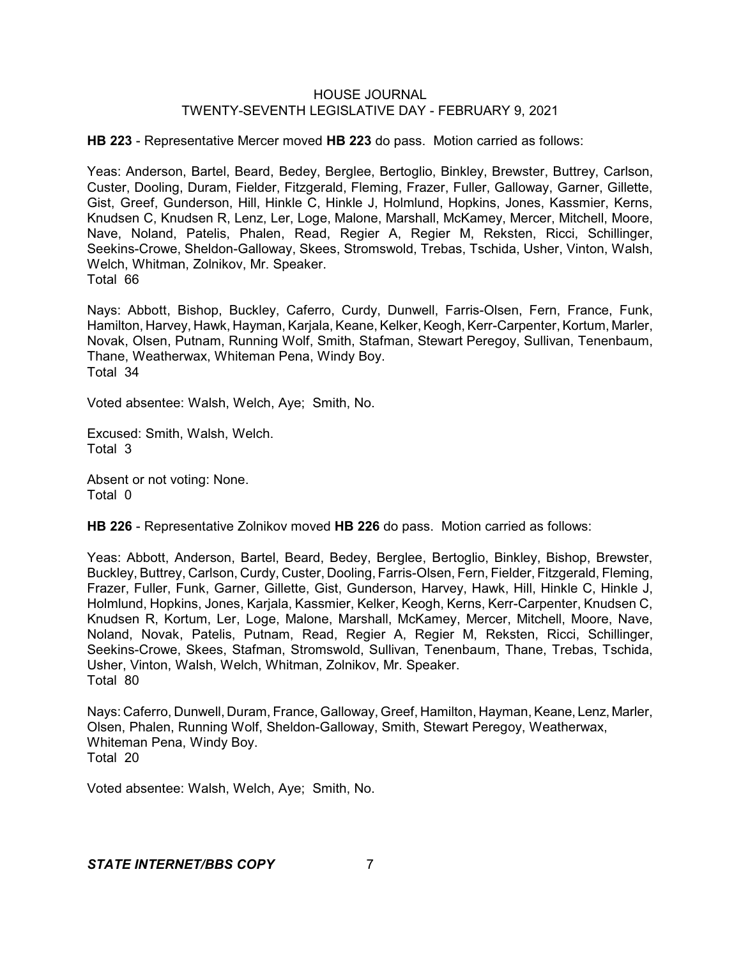**HB 223** - Representative Mercer moved **HB 223** do pass. Motion carried as follows:

Yeas: Anderson, Bartel, Beard, Bedey, Berglee, Bertoglio, Binkley, Brewster, Buttrey, Carlson, Custer, Dooling, Duram, Fielder, Fitzgerald, Fleming, Frazer, Fuller, Galloway, Garner, Gillette, Gist, Greef, Gunderson, Hill, Hinkle C, Hinkle J, Holmlund, Hopkins, Jones, Kassmier, Kerns, Knudsen C, Knudsen R, Lenz, Ler, Loge, Malone, Marshall, McKamey, Mercer, Mitchell, Moore, Nave, Noland, Patelis, Phalen, Read, Regier A, Regier M, Reksten, Ricci, Schillinger, Seekins-Crowe, Sheldon-Galloway, Skees, Stromswold, Trebas, Tschida, Usher, Vinton, Walsh, Welch, Whitman, Zolnikov, Mr. Speaker. Total 66

Nays: Abbott, Bishop, Buckley, Caferro, Curdy, Dunwell, Farris-Olsen, Fern, France, Funk, Hamilton, Harvey, Hawk, Hayman, Karjala, Keane, Kelker, Keogh, Kerr-Carpenter, Kortum, Marler, Novak, Olsen, Putnam, Running Wolf, Smith, Stafman, Stewart Peregoy, Sullivan, Tenenbaum, Thane, Weatherwax, Whiteman Pena, Windy Boy. Total 34

Voted absentee: Walsh, Welch, Aye; Smith, No.

Excused: Smith, Walsh, Welch. Total 3

Absent or not voting: None. Total 0

**HB 226** - Representative Zolnikov moved **HB 226** do pass. Motion carried as follows:

Yeas: Abbott, Anderson, Bartel, Beard, Bedey, Berglee, Bertoglio, Binkley, Bishop, Brewster, Buckley, Buttrey, Carlson, Curdy, Custer, Dooling, Farris-Olsen, Fern, Fielder, Fitzgerald, Fleming, Frazer, Fuller, Funk, Garner, Gillette, Gist, Gunderson, Harvey, Hawk, Hill, Hinkle C, Hinkle J, Holmlund, Hopkins, Jones, Karjala, Kassmier, Kelker, Keogh, Kerns, Kerr-Carpenter, Knudsen C, Knudsen R, Kortum, Ler, Loge, Malone, Marshall, McKamey, Mercer, Mitchell, Moore, Nave, Noland, Novak, Patelis, Putnam, Read, Regier A, Regier M, Reksten, Ricci, Schillinger, Seekins-Crowe, Skees, Stafman, Stromswold, Sullivan, Tenenbaum, Thane, Trebas, Tschida, Usher, Vinton, Walsh, Welch, Whitman, Zolnikov, Mr. Speaker. Total 80

Nays: Caferro, Dunwell, Duram, France, Galloway, Greef, Hamilton, Hayman, Keane, Lenz, Marler, Olsen, Phalen, Running Wolf, Sheldon-Galloway, Smith, Stewart Peregoy, Weatherwax, Whiteman Pena, Windy Boy. Total 20

Voted absentee: Walsh, Welch, Aye; Smith, No.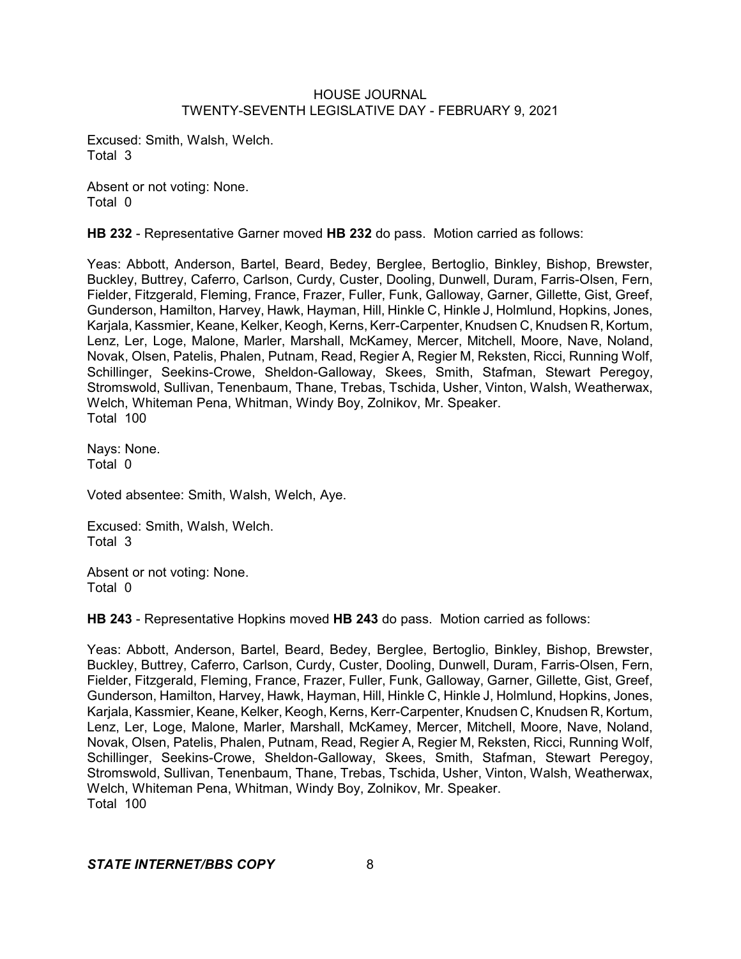Excused: Smith, Walsh, Welch. Total 3

Absent or not voting: None. Total 0

**HB 232** - Representative Garner moved **HB 232** do pass. Motion carried as follows:

Yeas: Abbott, Anderson, Bartel, Beard, Bedey, Berglee, Bertoglio, Binkley, Bishop, Brewster, Buckley, Buttrey, Caferro, Carlson, Curdy, Custer, Dooling, Dunwell, Duram, Farris-Olsen, Fern, Fielder, Fitzgerald, Fleming, France, Frazer, Fuller, Funk, Galloway, Garner, Gillette, Gist, Greef, Gunderson, Hamilton, Harvey, Hawk, Hayman, Hill, Hinkle C, Hinkle J, Holmlund, Hopkins, Jones, Karjala, Kassmier, Keane, Kelker, Keogh, Kerns, Kerr-Carpenter, Knudsen C, Knudsen R, Kortum, Lenz, Ler, Loge, Malone, Marler, Marshall, McKamey, Mercer, Mitchell, Moore, Nave, Noland, Novak, Olsen, Patelis, Phalen, Putnam, Read, Regier A, Regier M, Reksten, Ricci, Running Wolf, Schillinger, Seekins-Crowe, Sheldon-Galloway, Skees, Smith, Stafman, Stewart Peregoy, Stromswold, Sullivan, Tenenbaum, Thane, Trebas, Tschida, Usher, Vinton, Walsh, Weatherwax, Welch, Whiteman Pena, Whitman, Windy Boy, Zolnikov, Mr. Speaker. Total 100

Nays: None. Total 0

Voted absentee: Smith, Walsh, Welch, Aye.

Excused: Smith, Walsh, Welch. Total 3

Absent or not voting: None. Total 0

**HB 243** - Representative Hopkins moved **HB 243** do pass. Motion carried as follows:

Yeas: Abbott, Anderson, Bartel, Beard, Bedey, Berglee, Bertoglio, Binkley, Bishop, Brewster, Buckley, Buttrey, Caferro, Carlson, Curdy, Custer, Dooling, Dunwell, Duram, Farris-Olsen, Fern, Fielder, Fitzgerald, Fleming, France, Frazer, Fuller, Funk, Galloway, Garner, Gillette, Gist, Greef, Gunderson, Hamilton, Harvey, Hawk, Hayman, Hill, Hinkle C, Hinkle J, Holmlund, Hopkins, Jones, Karjala, Kassmier, Keane, Kelker, Keogh, Kerns, Kerr-Carpenter, Knudsen C, Knudsen R, Kortum, Lenz, Ler, Loge, Malone, Marler, Marshall, McKamey, Mercer, Mitchell, Moore, Nave, Noland, Novak, Olsen, Patelis, Phalen, Putnam, Read, Regier A, Regier M, Reksten, Ricci, Running Wolf, Schillinger, Seekins-Crowe, Sheldon-Galloway, Skees, Smith, Stafman, Stewart Peregoy, Stromswold, Sullivan, Tenenbaum, Thane, Trebas, Tschida, Usher, Vinton, Walsh, Weatherwax, Welch, Whiteman Pena, Whitman, Windy Boy, Zolnikov, Mr. Speaker. Total 100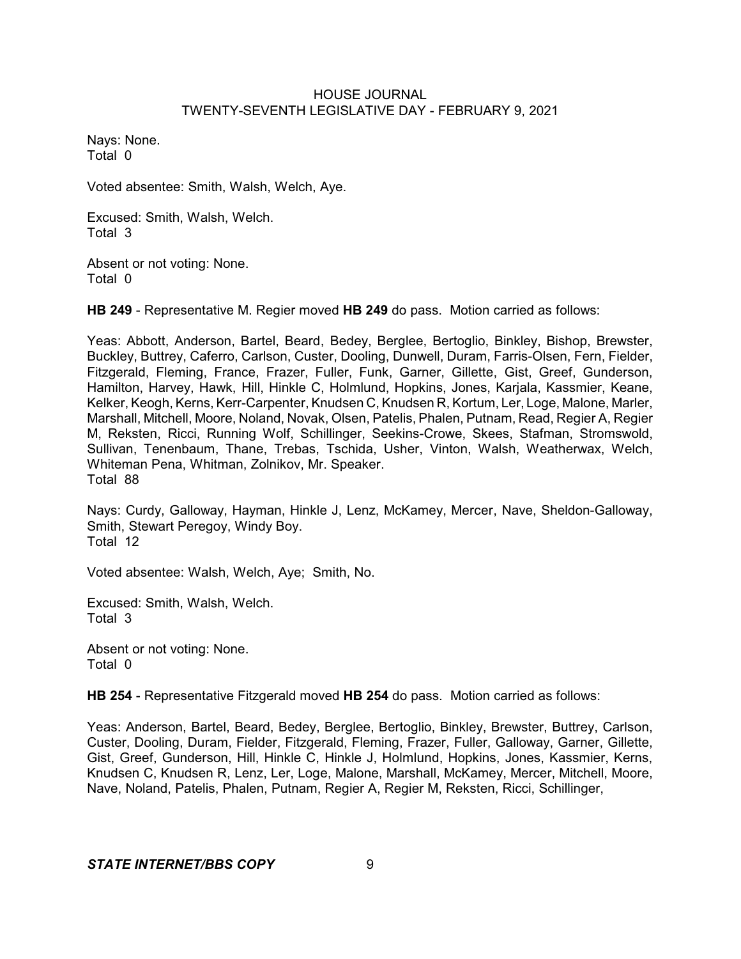Nays: None. Total 0

Voted absentee: Smith, Walsh, Welch, Aye.

Excused: Smith, Walsh, Welch. Total 3

Absent or not voting: None. Total 0

**HB 249** - Representative M. Regier moved **HB 249** do pass. Motion carried as follows:

Yeas: Abbott, Anderson, Bartel, Beard, Bedey, Berglee, Bertoglio, Binkley, Bishop, Brewster, Buckley, Buttrey, Caferro, Carlson, Custer, Dooling, Dunwell, Duram, Farris-Olsen, Fern, Fielder, Fitzgerald, Fleming, France, Frazer, Fuller, Funk, Garner, Gillette, Gist, Greef, Gunderson, Hamilton, Harvey, Hawk, Hill, Hinkle C, Holmlund, Hopkins, Jones, Karjala, Kassmier, Keane, Kelker, Keogh, Kerns, Kerr-Carpenter, Knudsen C, Knudsen R, Kortum, Ler, Loge, Malone, Marler, Marshall, Mitchell, Moore, Noland, Novak, Olsen, Patelis, Phalen, Putnam, Read, Regier A, Regier M, Reksten, Ricci, Running Wolf, Schillinger, Seekins-Crowe, Skees, Stafman, Stromswold, Sullivan, Tenenbaum, Thane, Trebas, Tschida, Usher, Vinton, Walsh, Weatherwax, Welch, Whiteman Pena, Whitman, Zolnikov, Mr. Speaker. Total 88

Nays: Curdy, Galloway, Hayman, Hinkle J, Lenz, McKamey, Mercer, Nave, Sheldon-Galloway, Smith, Stewart Peregoy, Windy Boy. Total 12

Voted absentee: Walsh, Welch, Aye; Smith, No.

Excused: Smith, Walsh, Welch. Total 3

Absent or not voting: None. Total 0

**HB 254** - Representative Fitzgerald moved **HB 254** do pass. Motion carried as follows:

Yeas: Anderson, Bartel, Beard, Bedey, Berglee, Bertoglio, Binkley, Brewster, Buttrey, Carlson, Custer, Dooling, Duram, Fielder, Fitzgerald, Fleming, Frazer, Fuller, Galloway, Garner, Gillette, Gist, Greef, Gunderson, Hill, Hinkle C, Hinkle J, Holmlund, Hopkins, Jones, Kassmier, Kerns, Knudsen C, Knudsen R, Lenz, Ler, Loge, Malone, Marshall, McKamey, Mercer, Mitchell, Moore, Nave, Noland, Patelis, Phalen, Putnam, Regier A, Regier M, Reksten, Ricci, Schillinger,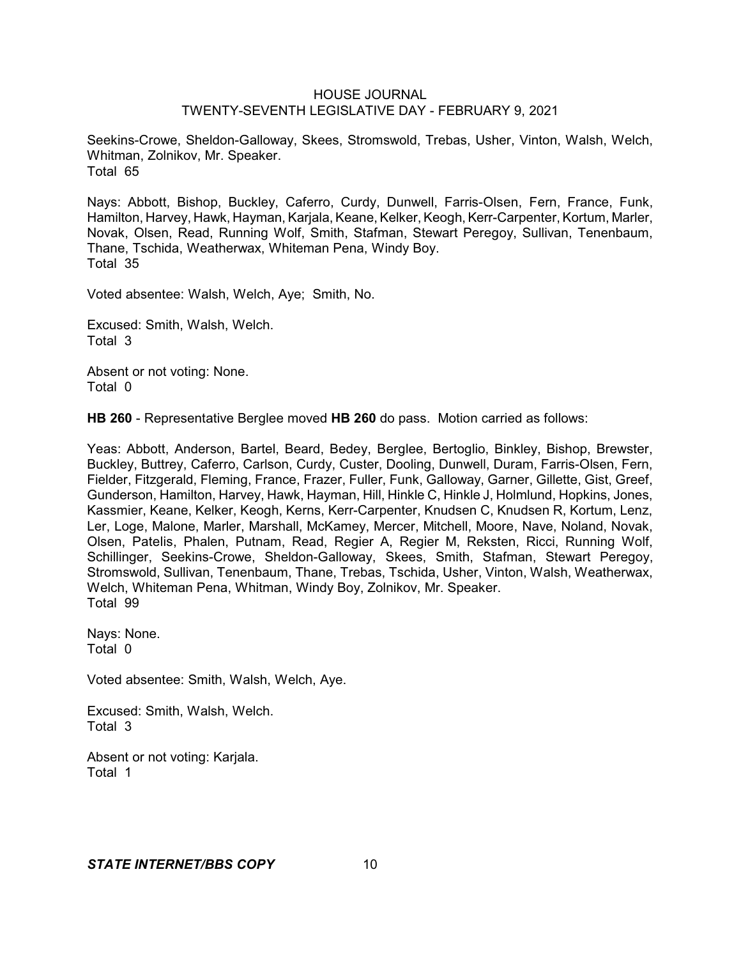Seekins-Crowe, Sheldon-Galloway, Skees, Stromswold, Trebas, Usher, Vinton, Walsh, Welch, Whitman, Zolnikov, Mr. Speaker. Total 65

Nays: Abbott, Bishop, Buckley, Caferro, Curdy, Dunwell, Farris-Olsen, Fern, France, Funk, Hamilton, Harvey, Hawk, Hayman, Karjala, Keane, Kelker, Keogh, Kerr-Carpenter, Kortum, Marler, Novak, Olsen, Read, Running Wolf, Smith, Stafman, Stewart Peregoy, Sullivan, Tenenbaum, Thane, Tschida, Weatherwax, Whiteman Pena, Windy Boy. Total 35

Voted absentee: Walsh, Welch, Aye; Smith, No.

Excused: Smith, Walsh, Welch. Total 3

Absent or not voting: None. Total 0

**HB 260** - Representative Berglee moved **HB 260** do pass. Motion carried as follows:

Yeas: Abbott, Anderson, Bartel, Beard, Bedey, Berglee, Bertoglio, Binkley, Bishop, Brewster, Buckley, Buttrey, Caferro, Carlson, Curdy, Custer, Dooling, Dunwell, Duram, Farris-Olsen, Fern, Fielder, Fitzgerald, Fleming, France, Frazer, Fuller, Funk, Galloway, Garner, Gillette, Gist, Greef, Gunderson, Hamilton, Harvey, Hawk, Hayman, Hill, Hinkle C, Hinkle J, Holmlund, Hopkins, Jones, Kassmier, Keane, Kelker, Keogh, Kerns, Kerr-Carpenter, Knudsen C, Knudsen R, Kortum, Lenz, Ler, Loge, Malone, Marler, Marshall, McKamey, Mercer, Mitchell, Moore, Nave, Noland, Novak, Olsen, Patelis, Phalen, Putnam, Read, Regier A, Regier M, Reksten, Ricci, Running Wolf, Schillinger, Seekins-Crowe, Sheldon-Galloway, Skees, Smith, Stafman, Stewart Peregoy, Stromswold, Sullivan, Tenenbaum, Thane, Trebas, Tschida, Usher, Vinton, Walsh, Weatherwax, Welch, Whiteman Pena, Whitman, Windy Boy, Zolnikov, Mr. Speaker. Total 99

Nays: None. Total 0

Voted absentee: Smith, Walsh, Welch, Aye.

Excused: Smith, Walsh, Welch. Total 3

Absent or not voting: Karjala. Total 1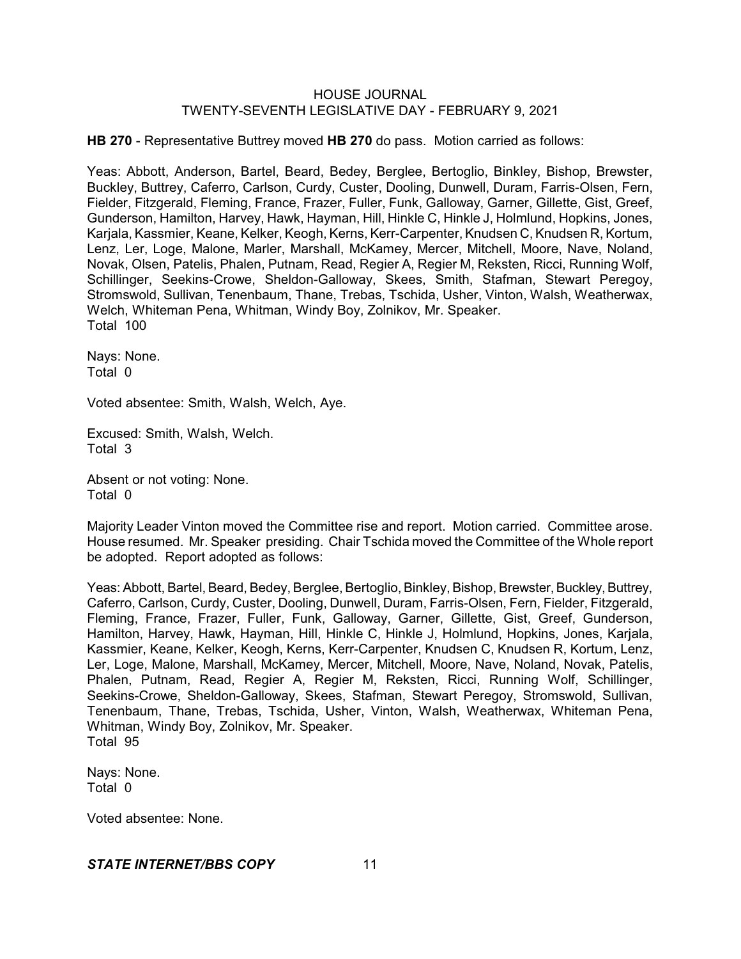**HB 270** - Representative Buttrey moved **HB 270** do pass. Motion carried as follows:

Yeas: Abbott, Anderson, Bartel, Beard, Bedey, Berglee, Bertoglio, Binkley, Bishop, Brewster, Buckley, Buttrey, Caferro, Carlson, Curdy, Custer, Dooling, Dunwell, Duram, Farris-Olsen, Fern, Fielder, Fitzgerald, Fleming, France, Frazer, Fuller, Funk, Galloway, Garner, Gillette, Gist, Greef, Gunderson, Hamilton, Harvey, Hawk, Hayman, Hill, Hinkle C, Hinkle J, Holmlund, Hopkins, Jones, Karjala, Kassmier, Keane, Kelker, Keogh, Kerns, Kerr-Carpenter, Knudsen C, Knudsen R, Kortum, Lenz, Ler, Loge, Malone, Marler, Marshall, McKamey, Mercer, Mitchell, Moore, Nave, Noland, Novak, Olsen, Patelis, Phalen, Putnam, Read, Regier A, Regier M, Reksten, Ricci, Running Wolf, Schillinger, Seekins-Crowe, Sheldon-Galloway, Skees, Smith, Stafman, Stewart Peregoy, Stromswold, Sullivan, Tenenbaum, Thane, Trebas, Tschida, Usher, Vinton, Walsh, Weatherwax, Welch, Whiteman Pena, Whitman, Windy Boy, Zolnikov, Mr. Speaker. Total 100

Nays: None. Total 0

Voted absentee: Smith, Walsh, Welch, Aye.

Excused: Smith, Walsh, Welch. Total 3

Absent or not voting: None. Total 0

Majority Leader Vinton moved the Committee rise and report. Motion carried. Committee arose. House resumed. Mr. Speaker presiding. Chair Tschida moved the Committee of the Whole report be adopted. Report adopted as follows:

Yeas: Abbott, Bartel, Beard, Bedey, Berglee, Bertoglio, Binkley, Bishop, Brewster, Buckley, Buttrey, Caferro, Carlson, Curdy, Custer, Dooling, Dunwell, Duram, Farris-Olsen, Fern, Fielder, Fitzgerald, Fleming, France, Frazer, Fuller, Funk, Galloway, Garner, Gillette, Gist, Greef, Gunderson, Hamilton, Harvey, Hawk, Hayman, Hill, Hinkle C, Hinkle J, Holmlund, Hopkins, Jones, Karjala, Kassmier, Keane, Kelker, Keogh, Kerns, Kerr-Carpenter, Knudsen C, Knudsen R, Kortum, Lenz, Ler, Loge, Malone, Marshall, McKamey, Mercer, Mitchell, Moore, Nave, Noland, Novak, Patelis, Phalen, Putnam, Read, Regier A, Regier M, Reksten, Ricci, Running Wolf, Schillinger, Seekins-Crowe, Sheldon-Galloway, Skees, Stafman, Stewart Peregoy, Stromswold, Sullivan, Tenenbaum, Thane, Trebas, Tschida, Usher, Vinton, Walsh, Weatherwax, Whiteman Pena, Whitman, Windy Boy, Zolnikov, Mr. Speaker. Total 95

Nays: None. Total 0

Voted absentee: None.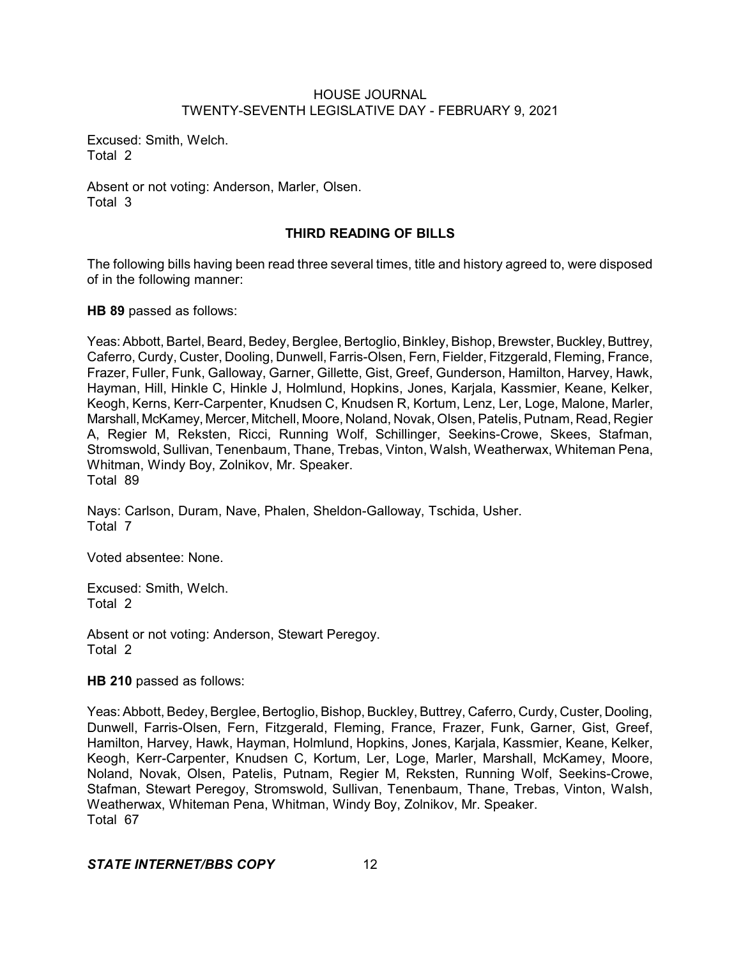Excused: Smith, Welch. Total 2

Absent or not voting: Anderson, Marler, Olsen. Total 3

# **THIRD READING OF BILLS**

The following bills having been read three several times, title and history agreed to, were disposed of in the following manner:

**HB 89** passed as follows:

Yeas: Abbott, Bartel, Beard, Bedey, Berglee, Bertoglio, Binkley, Bishop, Brewster, Buckley, Buttrey, Caferro, Curdy, Custer, Dooling, Dunwell, Farris-Olsen, Fern, Fielder, Fitzgerald, Fleming, France, Frazer, Fuller, Funk, Galloway, Garner, Gillette, Gist, Greef, Gunderson, Hamilton, Harvey, Hawk, Hayman, Hill, Hinkle C, Hinkle J, Holmlund, Hopkins, Jones, Karjala, Kassmier, Keane, Kelker, Keogh, Kerns, Kerr-Carpenter, Knudsen C, Knudsen R, Kortum, Lenz, Ler, Loge, Malone, Marler, Marshall, McKamey, Mercer, Mitchell, Moore, Noland, Novak, Olsen, Patelis, Putnam, Read, Regier A, Regier M, Reksten, Ricci, Running Wolf, Schillinger, Seekins-Crowe, Skees, Stafman, Stromswold, Sullivan, Tenenbaum, Thane, Trebas, Vinton, Walsh, Weatherwax, Whiteman Pena, Whitman, Windy Boy, Zolnikov, Mr. Speaker. Total 89

Nays: Carlson, Duram, Nave, Phalen, Sheldon-Galloway, Tschida, Usher. Total 7

Voted absentee: None.

Excused: Smith, Welch. Total 2

Absent or not voting: Anderson, Stewart Peregoy. Total 2

**HB 210** passed as follows:

Yeas: Abbott, Bedey, Berglee, Bertoglio, Bishop, Buckley, Buttrey, Caferro, Curdy, Custer, Dooling, Dunwell, Farris-Olsen, Fern, Fitzgerald, Fleming, France, Frazer, Funk, Garner, Gist, Greef, Hamilton, Harvey, Hawk, Hayman, Holmlund, Hopkins, Jones, Karjala, Kassmier, Keane, Kelker, Keogh, Kerr-Carpenter, Knudsen C, Kortum, Ler, Loge, Marler, Marshall, McKamey, Moore, Noland, Novak, Olsen, Patelis, Putnam, Regier M, Reksten, Running Wolf, Seekins-Crowe, Stafman, Stewart Peregoy, Stromswold, Sullivan, Tenenbaum, Thane, Trebas, Vinton, Walsh, Weatherwax, Whiteman Pena, Whitman, Windy Boy, Zolnikov, Mr. Speaker. Total 67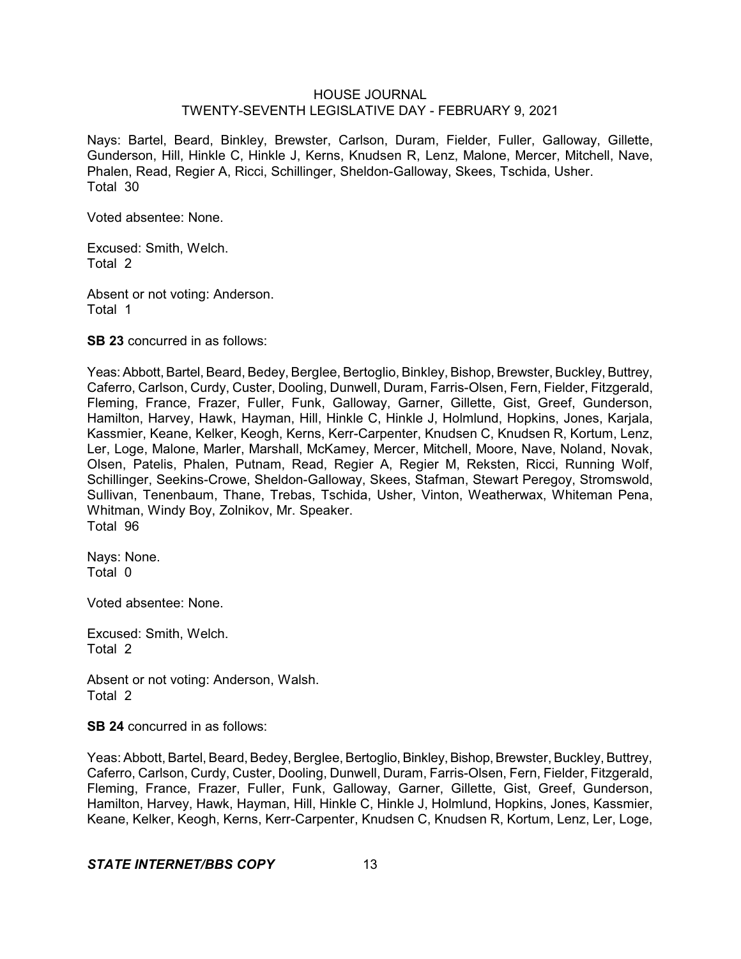Nays: Bartel, Beard, Binkley, Brewster, Carlson, Duram, Fielder, Fuller, Galloway, Gillette, Gunderson, Hill, Hinkle C, Hinkle J, Kerns, Knudsen R, Lenz, Malone, Mercer, Mitchell, Nave, Phalen, Read, Regier A, Ricci, Schillinger, Sheldon-Galloway, Skees, Tschida, Usher. Total 30

Voted absentee: None.

Excused: Smith, Welch. Total 2

Absent or not voting: Anderson. Total 1

**SB 23** concurred in as follows:

Yeas: Abbott, Bartel, Beard, Bedey, Berglee, Bertoglio, Binkley, Bishop, Brewster, Buckley, Buttrey, Caferro, Carlson, Curdy, Custer, Dooling, Dunwell, Duram, Farris-Olsen, Fern, Fielder, Fitzgerald, Fleming, France, Frazer, Fuller, Funk, Galloway, Garner, Gillette, Gist, Greef, Gunderson, Hamilton, Harvey, Hawk, Hayman, Hill, Hinkle C, Hinkle J, Holmlund, Hopkins, Jones, Karjala, Kassmier, Keane, Kelker, Keogh, Kerns, Kerr-Carpenter, Knudsen C, Knudsen R, Kortum, Lenz, Ler, Loge, Malone, Marler, Marshall, McKamey, Mercer, Mitchell, Moore, Nave, Noland, Novak, Olsen, Patelis, Phalen, Putnam, Read, Regier A, Regier M, Reksten, Ricci, Running Wolf, Schillinger, Seekins-Crowe, Sheldon-Galloway, Skees, Stafman, Stewart Peregoy, Stromswold, Sullivan, Tenenbaum, Thane, Trebas, Tschida, Usher, Vinton, Weatherwax, Whiteman Pena, Whitman, Windy Boy, Zolnikov, Mr. Speaker. Total 96

Nays: None. Total 0

Voted absentee: None.

Excused: Smith, Welch. Total 2

Absent or not voting: Anderson, Walsh. Total 2

**SB 24** concurred in as follows:

Yeas: Abbott, Bartel, Beard, Bedey, Berglee, Bertoglio, Binkley, Bishop, Brewster, Buckley, Buttrey, Caferro, Carlson, Curdy, Custer, Dooling, Dunwell, Duram, Farris-Olsen, Fern, Fielder, Fitzgerald, Fleming, France, Frazer, Fuller, Funk, Galloway, Garner, Gillette, Gist, Greef, Gunderson, Hamilton, Harvey, Hawk, Hayman, Hill, Hinkle C, Hinkle J, Holmlund, Hopkins, Jones, Kassmier, Keane, Kelker, Keogh, Kerns, Kerr-Carpenter, Knudsen C, Knudsen R, Kortum, Lenz, Ler, Loge,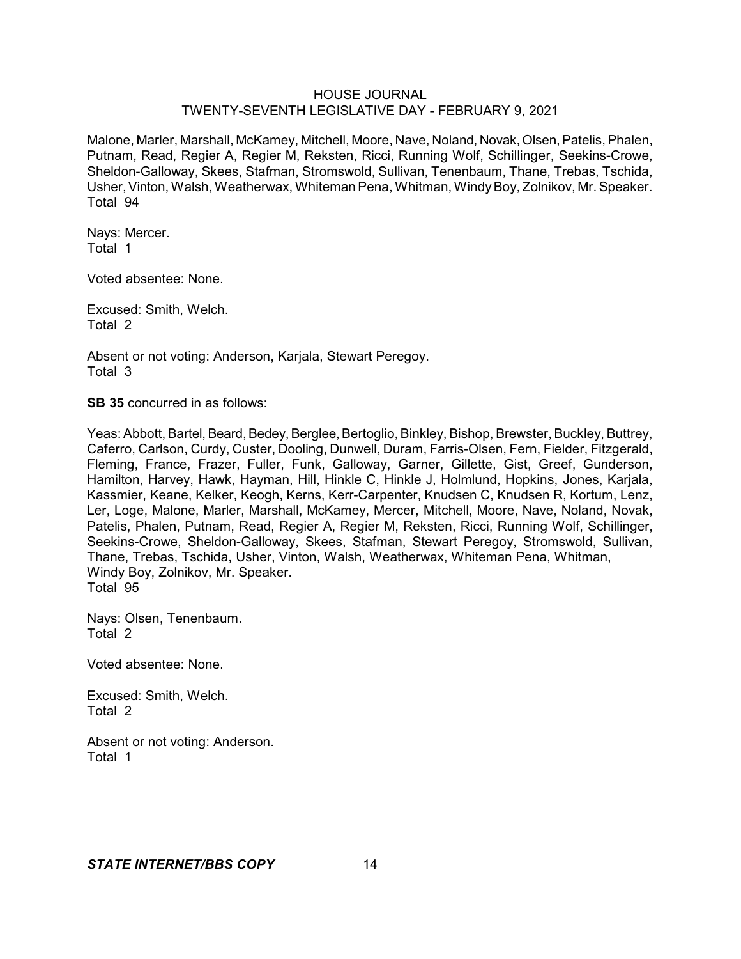Malone, Marler, Marshall, McKamey, Mitchell, Moore, Nave, Noland, Novak, Olsen, Patelis, Phalen, Putnam, Read, Regier A, Regier M, Reksten, Ricci, Running Wolf, Schillinger, Seekins-Crowe, Sheldon-Galloway, Skees, Stafman, Stromswold, Sullivan, Tenenbaum, Thane, Trebas, Tschida, Usher, Vinton, Walsh, Weatherwax, Whiteman Pena, Whitman, Windy Boy, Zolnikov, Mr. Speaker. Total 94

Nays: Mercer. Total 1

Voted absentee: None.

Excused: Smith, Welch. Total 2

Absent or not voting: Anderson, Karjala, Stewart Peregoy. Total 3

**SB 35** concurred in as follows:

Yeas: Abbott, Bartel, Beard, Bedey, Berglee, Bertoglio, Binkley, Bishop, Brewster, Buckley, Buttrey, Caferro, Carlson, Curdy, Custer, Dooling, Dunwell, Duram, Farris-Olsen, Fern, Fielder, Fitzgerald, Fleming, France, Frazer, Fuller, Funk, Galloway, Garner, Gillette, Gist, Greef, Gunderson, Hamilton, Harvey, Hawk, Hayman, Hill, Hinkle C, Hinkle J, Holmlund, Hopkins, Jones, Karjala, Kassmier, Keane, Kelker, Keogh, Kerns, Kerr-Carpenter, Knudsen C, Knudsen R, Kortum, Lenz, Ler, Loge, Malone, Marler, Marshall, McKamey, Mercer, Mitchell, Moore, Nave, Noland, Novak, Patelis, Phalen, Putnam, Read, Regier A, Regier M, Reksten, Ricci, Running Wolf, Schillinger, Seekins-Crowe, Sheldon-Galloway, Skees, Stafman, Stewart Peregoy, Stromswold, Sullivan, Thane, Trebas, Tschida, Usher, Vinton, Walsh, Weatherwax, Whiteman Pena, Whitman, Windy Boy, Zolnikov, Mr. Speaker. Total 95

Nays: Olsen, Tenenbaum. Total 2

Voted absentee: None.

Excused: Smith, Welch. Total 2

Absent or not voting: Anderson. Total 1